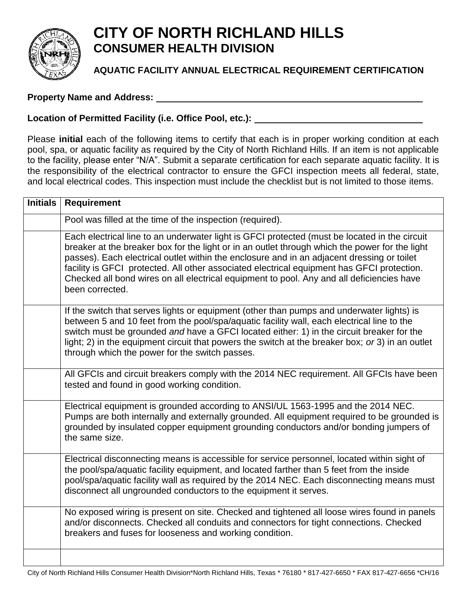

## **CITY OF NORTH RICHLAND HILLS CONSUMER HEALTH DIVISION**

## **AQUATIC FACILITY ANNUAL ELECTRICAL REQUIREMENT CERTIFICATION**

## **Property Name and Address:**

## **Location of Permitted Facility (i.e. Office Pool, etc.):**

Please **initial** each of the following items to certify that each is in proper working condition at each pool, spa, or aquatic facility as required by the City of North Richland Hills. If an item is not applicable to the facility, please enter "N/A". Submit a separate certification for each separate aquatic facility. It is the responsibility of the electrical contractor to ensure the GFCI inspection meets all federal, state, and local electrical codes. This inspection must include the checklist but is not limited to those items.

| <b>Initials</b> | <b>Requirement</b>                                                                                                                                                                                                                                                                                                                                                                                                                                                                                          |
|-----------------|-------------------------------------------------------------------------------------------------------------------------------------------------------------------------------------------------------------------------------------------------------------------------------------------------------------------------------------------------------------------------------------------------------------------------------------------------------------------------------------------------------------|
|                 | Pool was filled at the time of the inspection (required).                                                                                                                                                                                                                                                                                                                                                                                                                                                   |
|                 | Each electrical line to an underwater light is GFCI protected (must be located in the circuit<br>breaker at the breaker box for the light or in an outlet through which the power for the light<br>passes). Each electrical outlet within the enclosure and in an adjacent dressing or toilet<br>facility is GFCI protected. All other associated electrical equipment has GFCI protection.<br>Checked all bond wires on all electrical equipment to pool. Any and all deficiencies have<br>been corrected. |
|                 | If the switch that serves lights or equipment (other than pumps and underwater lights) is<br>between 5 and 10 feet from the pool/spa/aquatic facility wall, each electrical line to the<br>switch must be grounded and have a GFCI located either: 1) in the circuit breaker for the<br>light; 2) in the equipment circuit that powers the switch at the breaker box; or 3) in an outlet<br>through which the power for the switch passes.                                                                  |
|                 | All GFCIs and circuit breakers comply with the 2014 NEC requirement. All GFCIs have been<br>tested and found in good working condition.                                                                                                                                                                                                                                                                                                                                                                     |
|                 | Electrical equipment is grounded according to ANSI/UL 1563-1995 and the 2014 NEC.<br>Pumps are both internally and externally grounded. All equipment required to be grounded is<br>grounded by insulated copper equipment grounding conductors and/or bonding jumpers of<br>the same size.                                                                                                                                                                                                                 |
|                 | Electrical disconnecting means is accessible for service personnel, located within sight of<br>the pool/spa/aquatic facility equipment, and located farther than 5 feet from the inside<br>pool/spa/aquatic facility wall as required by the 2014 NEC. Each disconnecting means must<br>disconnect all ungrounded conductors to the equipment it serves.                                                                                                                                                    |
|                 | No exposed wiring is present on site. Checked and tightened all loose wires found in panels<br>and/or disconnects. Checked all conduits and connectors for tight connections. Checked<br>breakers and fuses for looseness and working condition.                                                                                                                                                                                                                                                            |
|                 |                                                                                                                                                                                                                                                                                                                                                                                                                                                                                                             |